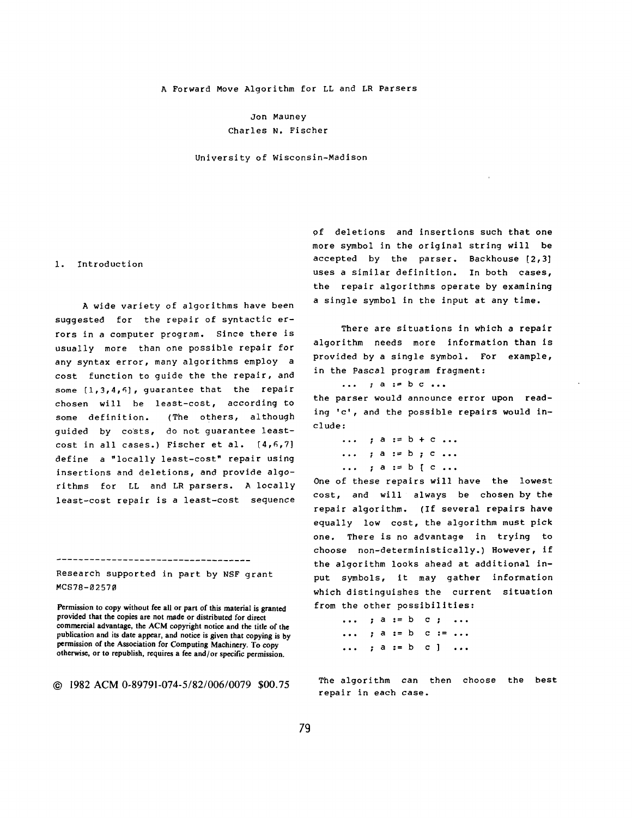### A Forward Move Algorithm for LL and LR Parsers

Jon Mauney Charles N. Fischer

University of Wisconsin-Madison

### i. Introduction

A wide variety of algorithms have been suggested for the repair of syntactic errors in a computer program. Since there is *usually* more than one possible repair for any syntax error, many algorithms employ a cost function to guide the the repair, and some [i,3,4,6], *guarantee* that the repair chosen will be least-cost, according to some definition. (The others, although guided by co~ts, do not *guarantee* leastcost in all cases.) Fischer et al. [4,6,7] define a "locally least-cost" repair using insertions and deletions, and provide *algo*rithms for LL and LR parsers. A locally least-cost repair is a least-cost sequence

Research supported in part by NSF grant MCS78-02570

----------------------------------

Permission to copy without fee all or part of this material is granted provided that the copies are not made or distributed for direct commercial advantage, the ACM copyright notice and the title of the publication and its date appear, and notice is given that **copying is by**  permission of the Association for Computing Machinery. To **copy**  otherwise, or to republish, requires a fee and/or specific permission.

© 1982 ACM0-89791-074-5/82/006/0079 \$00.75

of deletions and insertions such that one more symbol in the original string will be accepted by the parser. Backhouse [2,3] uses a similar definition. In both cases, the repair algorithms operate by examining a single symbol in the input at any time.

There are situations in which a repair algorithm needs more information than is provided by a single symbol. For example, in the Pascal program fragment:

... ; a := b c ...

the parser would *announce* error upon reading 'c', and the possible repairs would include:

> ... ; a := b + c ... ... ; a := b ; c ... ... ; a := b [ c ...

One of these repairs will have the lowest cost, and will always be chosen by the repair algorithm. (If several repairs have equally low cost, the algorithm must pick one. There is no advantage in trying to choose non-deterministically.) However, if the algorithm looks ahead at additional input symbols, it may gather information which distinguishes the current situation from the other possibilities:

```
... ; a := b c ; ... 
... ; a := b c := ...... ; a := b c ] ...
```
The algorithm can then choose the best repair in each case.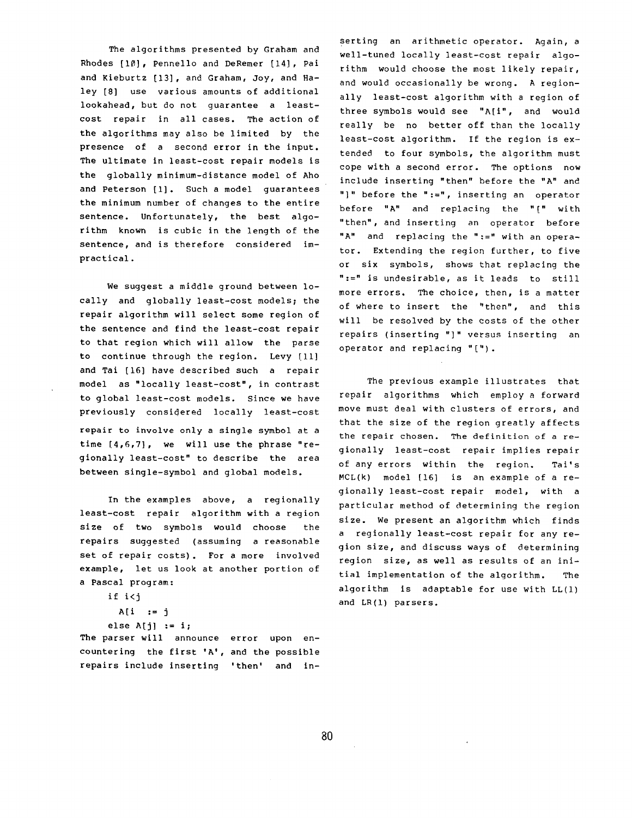The algorithms presented by Graham and Rhodes [10], Pennello and DeRemer [14], Pal and Kieburtz [13], and Graham, Joy, and Haley [8] use various amounts of additional lookahead, but do not guarantee a leastcost repair in all cases. The action of the algorithms may also be limited by the presence of a second error in the input. The ultimate in least-cost repair models is the globally minimum-distance model of Aho and Peterson [I]. Such a model guarantees the minimum number of changes to the entire sentence. Unfortunately, the best algorithm known is cubic in the length of the sentence, and is therefore considered impractical.

We suggest a middle ground between locally and globally least-cost models; the repair algorithm will select some region of the sentence and find the least-cost repair to that region which will allow the parse to continue through the region. Levy [ii] and Tai [16] have described such a repair model as "locally least-cost", in contrast to global least-cost models. Since we have previously considered locally least-cost repair to involve only a single symbol at a time [4,6,7], we will use the phrase "regionally least-cost" to describe the area between single-symbol and global models.

In the examples above, a regionally least-cost repair algorithm with a region size of two symbols would choose the repairs suggested (assuming a reasonable set of repair costs). For a more involved example, let us look at another portion of a Pascal program:

if i<j

```
A[i := j]else A[j] := i;
```
The parser will announce error upon encountering the first 'A', and the possible repairs include inserting 'then' and in-

setting an arithmetic operator. Again, a well-tuned locally least-cost repair algorithm would choose the most likely repair, and would *occasionally* be wrong. A regionally least-cost algorithm with a region of three symbols would see "A[i", and would really be no better off than the locally least-cost algorithm. If the region is extended to four symbols, the algorithm must cope with a second error. The options now include inserting "then" before the "A" and "]" before the ":=", inserting an operator before "A" and replacing the "[" with "then", and inserting an operator before "A" and replacing the ":=" with an operator. Extending the region further, to five or six symbols, shows that replacing the ":=" is undesirable, as it leads to still more errors. The choice, then, is a matter of where to insert the "then", and this will be resolved by the costs of the other repairs (inserting "]" versus inserting an operator and replacing "[").

The previous example illustrates that repair algorithms which employ a forward move must deal with clusters of errors, and that the size of the region greatly affects the repair chosen. The definition of a regionally least-cost repair implies repair of any errors within the region. Tai's MCL(k) model [16] is an example of a regionally least-cost repair model, with a particular method of determining the region size. We present an algorithm which finds a regionally least-cost repair for any region size, and discuss ways of determining region size, as well as results of an initial implementation of the algorithm. The algorithm is adaptable for use with LL(1) and LR(1) parsers.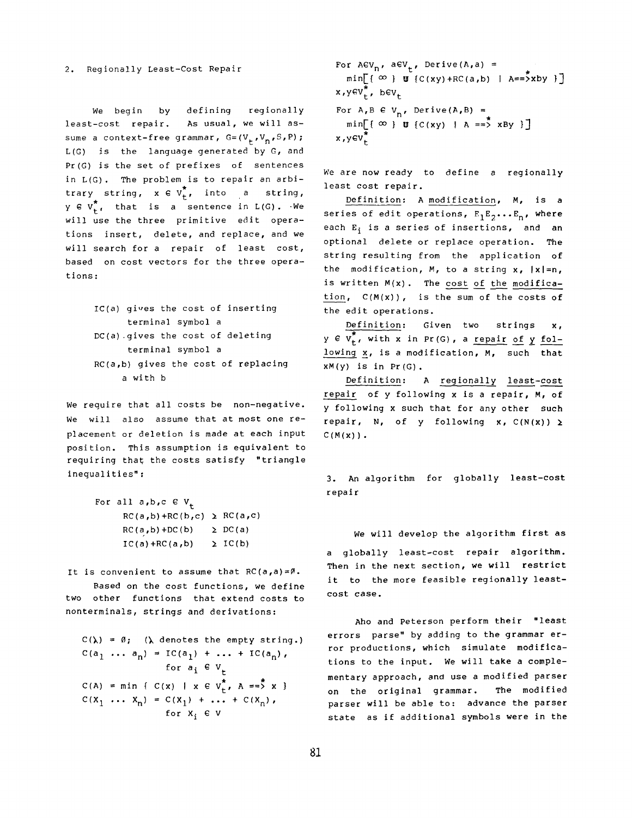2. Regionally Least-Cost Repair

We begin by defining regionally least-cost repair. As usual, we will assume a context-free grammar,  $G=(V_+,V_n,S,P)$ ; L(G) is the language generated by G, and Pr(G) is the set of prefixes of sentences in L(G). The problem is to repair an arbi trary string,  $x \in V_{+}^{\star}$ , into a string,  $y \in V_{t}^{*}$ , that is a sentence in  $L(G)$ . We will use the three primitive edit operations insert, delete, and replace, and we will search for a repair of least cost, based on cost vectors for the three operations:

> $IC(a)$  qives the cost of inserting terminal symbol a  $DC(a)$  gives the cost of deleting terminal symbol a RC(a,b) gives the cost of replacing a with b

We require that all costs be non-negative. We will also assume that at most one replacement or deletion is made at each input position. This assumption is equivalent to requiring that the costs satisfy "triangle inequalities":

```
For all a,b,c \in V_+RC(a,b)+RC(b,c) \ge RC(a,c)RC(a, b) + DC(b) \geq DC(a)IC(a) + RC(a,b) \geq IC(b)
```
It is convenient to assume that *RC(a,a)=@.* 

Based on the cost functions, we define two other functions that extend costs to nonterminals, strings and derivations:

 $C(\lambda) = \emptyset$ ; ( $\lambda$  denotes the empty string.)  $C(a_1 \ldots a_n) = IC(a_1) + \ldots + IC(a_n)$ , for  $a_i \in V_t$  $C(A) = min \{ C(x) | x \in V_{+}^{*}, A == X \}$  $C(x_1 \ldots x_n) = C(x_1) + \ldots + C(x_n)$ , for  $X_i \in V$ 

```
For ACV_n, aCV_t, Derive(A,a) =
   min[ \infty } U {C(xy) +RC(a,b) | A==>xby }]
x,yev, bev<sub>t</sub>
For A, B \in V_n, Derive(A, B) =
   min[\lbrace \infty \rbrace \mathbf{U} \lbrace C(xy) \mid A == \mathbf{X} \land \mathbf{By} \rbrace]x, y \in V_t^*
```
We are now ready to define a regionally least cost repair.

Definition: A modification, M, is a series of edit operations,  $E_1E_2...E_n$ , where each E<sub>i</sub> is a series of insertions, and an optional delete or replace operation. The string resulting from the application of the modification, M, to a string  $x$ ,  $|x|=n$ , is written M(x). The cost of the modification,  $C(M(x))$ , is the sum of the costs of the edit operations.

Definition: Given two strings x,  $y \in \overline{v_r^*}$ , with x in Pr(G), a repair of y following x, is a modification, M, such that  $xM(y)$  is in Pr(G).

Definition: A regionally least-cost repair of y following x is a repair, M, of y following x such that for any other such repair, N, of y following x,  $C(N(x)) \ge$  $C(M(x))$ .

3. An algorithm for globally least-cost repair

We will develop the algorithm first as a globally least-cost repair algorithm. Then in the next section, we will restrict it to the more feasible regionally leastcost *case.* 

Aho and Peterson perform their "least errors parse" by adding to the grammar error productions, which simulate modifications to the input. We will take a complementary approach, and use a modified parser on the original grammar. The modified parser will be able to: advance the parser state as if additional symbols were in the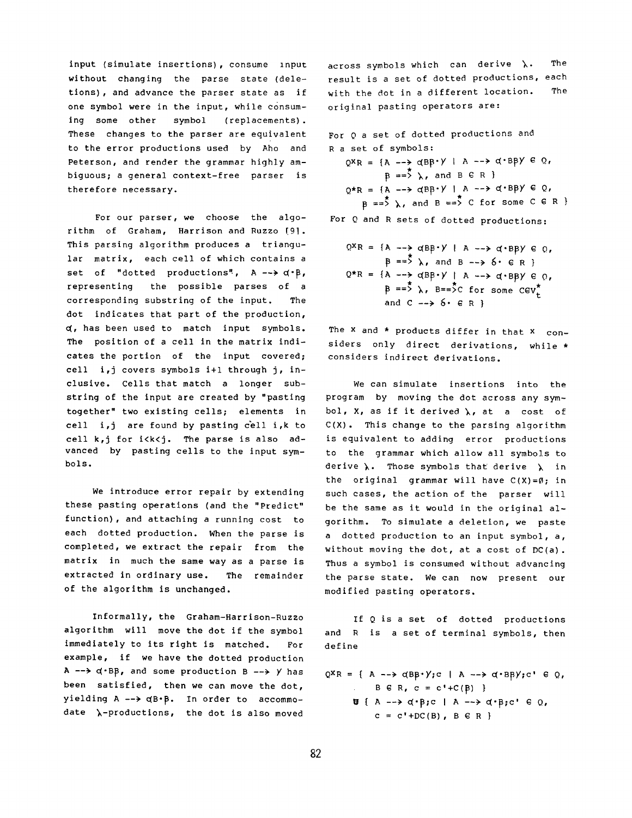input (simulate insertions), consume input without changing the parse state (deletions), and advance the parser state as if one symbol were in the input, while consuming some other symbol (replacements). These changes to the parser are equivalent to the error productions used by Aho and Peterson, and render the grammar highly ambiguous; a general context-free parser is therefore necessary.

For our parser, we choose the algorithm of Graham, Harrison and Ruzzo [9]. This parsing algorithm produces a triangular matrix, each cell of which contains a set of "dotted productions",  $A \rightarrow \alpha \cdot B$ , representing the possible parses of a corresponding substring of the input. The dot indicates that part of the production, 4, has been used to match input symbols. The position of a cell in the matrix indicates the portion of the input covered; cell i,j covers symbols i+l through j, inclusive. Cells that match a longer substring of the input are created by "pasting together" two existing cells; elements in cell i,j are found by pasting cell i,k to cell k,j for i<k<j. The parse is also advanced by pasting cells to the input symbols.

We introduce error repair by extending these pasting operations (and the "Predict" function), and attaching a running cost to each dotted production. When the parse is completed, we extract the repair from the matrix in much the same way as a parse is extracted in ordinary use. The remainder of the algorithm is unchanged.

Informally, the Graham-Harrison-Ruzzo algorithm will move the dot if the symbol immediately to its right is matched. For example, if we have the dotted production A  $\rightarrow$   $\alpha$  BB, and some production B  $\rightarrow$  y has been satisfied, then we can move the dot, yielding  $A \longrightarrow \alpha B \cdot B$ . In order to accommodate  $\lambda$ -productions, the dot is also moved

across symbols which can derive  $\lambda$ . The result is a set of dotted productions, each with the dot in a different location. The original pasting operators are:

For Q a set of dotted productions and R a set of symbols:

 $QX_R = \{A \longrightarrow dBB \cdot Y \mid A \longrightarrow d \cdot BBY \in Q,$  $B = \overline{5}$   $\lambda$ , and  $B \in R$  }  $Q*R = {A \dashrightarrow \alpha BP\cdot Y \vdash A \dashrightarrow \alpha \cdot BP\gamma \in Q,}$  $B == \rightarrow \rightarrow$ , and  $B == \rightarrow C$  for some C  $\in R$  }

For Q and R sets of dotted productions:

$$
Q^X R = \{A \longrightarrow \alpha B^2 + \gamma \mid A \longrightarrow \alpha B^2 \mid B \neq 0, \beta = \sum_{i=1}^{n} \lambda_i \text{ and } B \longrightarrow \delta \cdot \epsilon R \}
$$
  
\n
$$
Q^* R = \{A \longrightarrow \alpha B^2 + \gamma \mid A \longrightarrow \alpha B^2 \mid B \neq 0, \beta = \sum_{i=1}^{n} \lambda_i \text{ } B = \sum_{i=1}^{n} C \text{ for some } C \in V_t^*
$$
  
\nand  $C \longrightarrow \delta \cdot \epsilon R$  }

The  $x$  and  $*$  products differ in that  $x$  considers only direct derivations, while \* considers indirect derivations.

We can simulate insertions into the program by moving the dot across any symbol, X, as if it derived  $\lambda$ , at a cost of C(X). This change to the parsing algorithm is equivalent to adding error productions to the grammar which allow all symbols to derive  $\lambda$ . Those symbols that derive  $\lambda$  in the original grammar will have  $C(X) = \emptyset$ ; in such cases, the action of the parser will be the same as it would in the original algorithm. To simulate a deletion, we paste a dotted production to an input symbol, a, without moving the dot, at a cost of DC(a). Thus a symbol is consumed without advancing the parse state. We can now present our modified pasting operators.

If Q is a set of dotted productions and R is a set of terminal symbols, then define

 $Q^X R = \{ A \longrightarrow Q B B^* \}$ ;  $C \mid A \longrightarrow Q^* B B \}$ ;  $C' \in Q$ ,  $B \in R$ ,  $c = c' + C(\beta)$  }  $\Psi$  { A -->  $\alpha$ · $\beta$ ;c | A -->  $\alpha$ · $\beta$ ;c'  $\in$  Q,  $c = c' + DC(B)$ ,  $B \in R$  }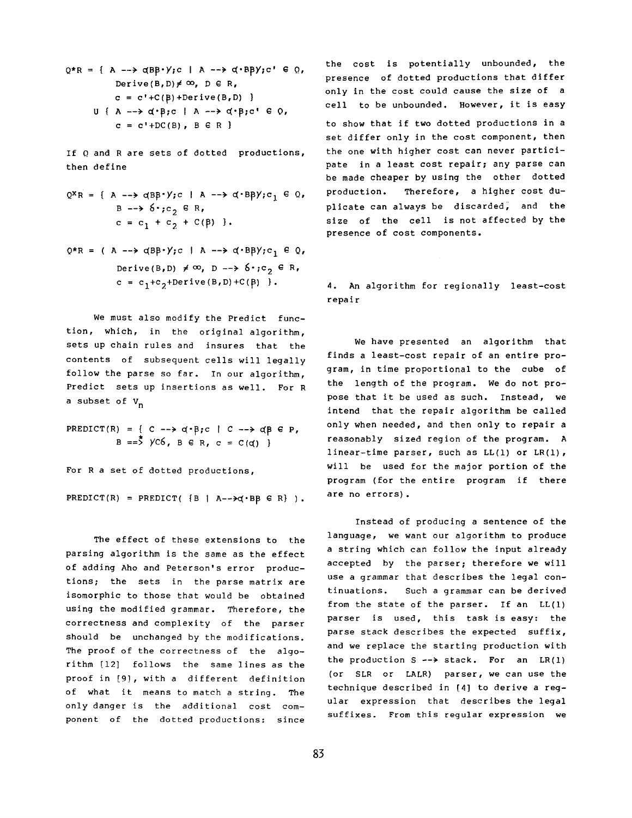```
Q*R = { A \longrightarrow \alpha} B B*Y; c \mid A \longrightarrow \alpha * B B Y; c' \in Q,Derive(B, D) \neq \infty, D \in R,
             c = c' + C(B) + Derive(B,D) }
       U { A --> d^{*}B;c | A --> d^{*}B;c' \in 0,
              c = c' + DC(B), B \in R }
```
If Q and R are sets of dotted productions, then define

- $Q^X R = \{ A \longrightarrow \alpha B B^* \vee; c \mid A \longrightarrow \alpha^* B B \vee; c_1 \in Q,$  $B \longrightarrow \delta$ .;c,  $\in R$ ,  $c = c_1 + c_2 + C(\beta)$  }.
- $Q*R = (A \longrightarrow dBB*Y; c \mid A \longrightarrow d'BBY; c_1 \in Q,$ Derive(B,D)  $\neq \infty$ , D -->  $6 \cdot$ ;c<sub>2</sub>  $\in$  R,  $c = c_1 + c_2 +$ Derive(B,D)+C( $\beta$ ) }.

We must also modify the Predict function, which, in the original algorithm, sets up chain rules and insures that the contents of subsequent cells will legally follow the parse so far. In our algorithm, Predict sets up insertions as well. For R a subset of  $V_n$ 

```
PREDICT(R) = { C \rightarrow \alpha \cdot B; c | C \rightarrow \alpha B \in P,
               B = \frac{3}{2} yC6, B \in R, c = C(d) }
```
For R a set of dotted productions,

PREDICT(R) = PREDICT( $\{B \mid A--\rightarrow q\cdot BB \in R\}$ ).

The effect of these extensions to the parsing algorithm is the same as the effect of adding Aho and Peterson's error productions; the sets in the parse matrix are isomorphic to those that would be obtained using the modified grammar. Therefore, the correctness and complexity of the parser should be unchanged by the modifications. The proof of the correctness of the algorithm [12] follows the same lines as the proof in [9], with a different definition of what it means to match a string. The only danger is the additional cost component of the dotted productions: since the cost is potentially unbounded, the presence of dotted productions that differ only in the cost could cause the size of a cell to be unbounded. However, it is easy to show that if two dotted productions in a set differ only in the cost component, then the one with higher cost can never participate in a least cost repair; any parse can be made cheaper by using the other dotted production. Therefore, a higher cost duplicate can always be discarded, and the size of the cell is not affected by the presence of cost components.

4. An algorithm for regionally least-cost repair

We have presented an algorithm that finds a least-cost repair of an entire program, in time proportional to the cube of the length of the program. We do not propose that it be used as such. Instead, we intend that the repair algorithm be called only when needed, and then only to repair a reasonably sized region of the program. A linear-time parser, such as LL(1) or LR(1), will be used for the major portion of the program (for the entire program if there are no errors).

Instead of producing a sentence of the language, we want our algorithm to produce a string which can follow the input already accepted by the parser; therefore we will use a grammar that describes the legal continuations. Such a grammar can be derived from the state of the parser. If an LL(1) parser is used, this task is easy: the parse stack describes the expected suffix, and we replace the starting production with the production  $S \rightarrow \text{stack.}$  For an  $LR(1)$ (or SLR or LALR) parser, we can use the technique described in [4] to derive a regular expression that describes the legal suffixes. From this regular expression we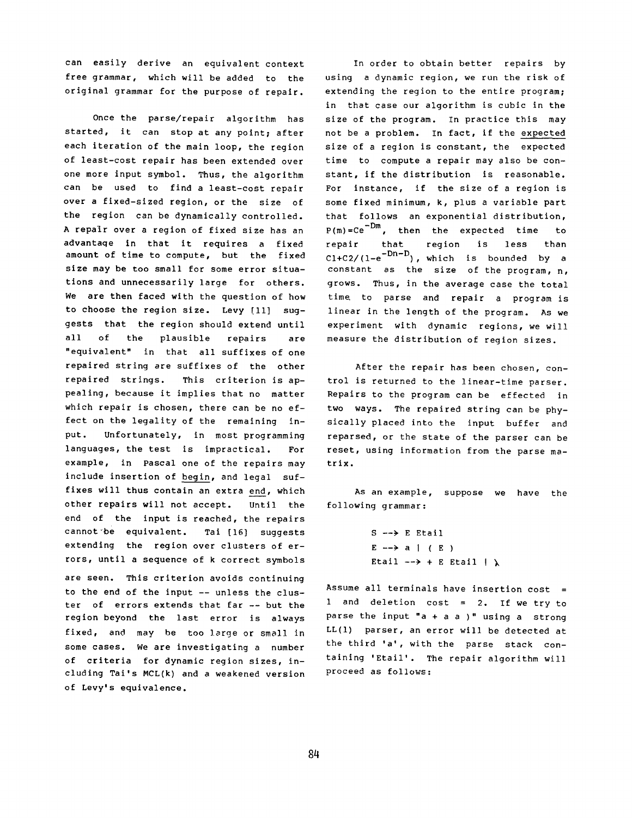can easily derive an equivalent context free grammar, which will be added to the original grammar for the purpose of repair.

Once the parse/repair algorithm has started, it can stop at any point; after each iteration of the main loop, the region of least-cost repair has been extended over one more input symbol. Thus, the algorithm can be used to find a least-cost repair over a fixed-sized region, or the size of the region can be dynamically controlled. A repair over a region of fixed size has an advantaqe in that it requires a fixed amount of time to compute, but the fixed size may be too small for some error *situa*tions and unnecessarily large for others. We are then faced with the question of how to choose the region size. Levy [11] suggests that the region should extend until all of the plausible repairs are "equivalent" in that all suffixes of one repaired string are suffixes of the other repaired strings. This criterion is appealing, because it implies that no matter which repair is chosen, there can be no effect on the legality of the remaining input. Unfortunately, in most programming languages, the test is impractical. For example, in Pascal one of the repairs may include insertion of begin, and legal suffixes will thus contain an extra end, which other repairs will not accept. Until the end of the input is reached, the repairs cannot'be equivalent. Tai [16] suggests extending the region over clusters of errors, until a sequence of k correct symbols

are seen. This criterion avoids continuing to the end of the input -- unless the cluster of errors extends that far -- but the region beyond the last error is always fixed, and may be too large or small in some cases. We are investigating a number of criteria for dynamic region sizes, including Tai's MCL(k) and a weakened version of Levy's equivalence.

In order to obtain better repairs by using a dynamic region, we run the risk of extending the region to the entire program; in that case our algorithm is cubic in the size of the program. In practice this may not be a problem. In fact, if the expected size of a region is constant, the expected time to compute a repair may also be constant, if the distribution is reasonable. For instance, if the size of a region is some fixed minimum, k, plus a variable part that follows an exponential distribution,  $P(m) = Ce^{-Dm}$ , then the expected time to repair that region is less than  $C1+C2/(1-e^{-Dn-D})$ , which is bounded by a constant as the size of the program, n, grows. Thus, in the average case the total time to parse and repair a program is linear in the length of the program. As we experiment with dynamic regions, we will measure the distribution of region sizes.

After the repair has been chosen, control is returned to the linear-time parser. Repairs to the program can be effected in two ways. The repaired string can be physically placed into the input buffer and reparsed, or the state of the parser can be reset, using information from the parse matrix.

As an example, suppose we have the following grammar:

```
S \dashrightarrow E Etail
E \longrightarrow a \mid (E)Etail \rightarrow + E Etail | \lambda
```
Assume all terminals have insertion  $cost =$ 1 and deletion cost = 2. If we try to parse the input "a + a a  $)$ " using a strong LL(1) parser, an error will be detected at the third 'a', with the parse stack containing 'Etail'. The repair algorithm will proceed as follows: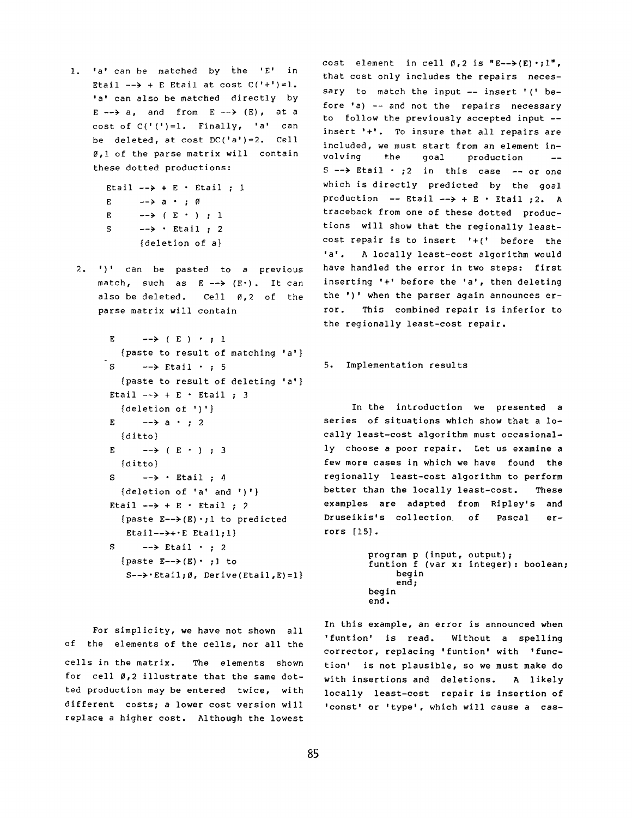I. 'a' can be matched by the 'E' in Etail  $\rightarrow$  + E Etail at cost  $C('+')=l$ . 'a' can also be matched directly by  $E \longrightarrow a$ , and from  $E \longrightarrow (E)$ , at a cost of  $C('')=1$ . Finally, 'a' can be deleted, at cost DC('a')=2. Cell 0,I of the parse matrix will contain these dotted productions:

```
Etail \rightarrow + E · Etail ; 1
E \longrightarrow a \longrightarrow 0
E \longrightarrow (E · ); 1
S \longrightarrow • Etail; 2
        {deletion of a}
```
2. ')' can be pasted to a previous match, such as  $E \rightarrow (E^*)$ . It can also be deleted. Cell  $\emptyset$ ,  $2$  of the parse matrix will contain

```
E \longrightarrow (E) \cdot ; 1
  {paste to result of matching 'a'} 
S \longrightarrow Etail \cdot ; 5
  {paste to result of deleting 'a'} 
Etail \rightarrow + E · Etail ; 3
   {deletion of ') '} 
E \longrightarrow a • ; 2
  {ditto} 
E \longrightarrow (E · ) ; 3
   {ditto} 
S \leftarrow \rightarrow \cdot Etail; 4
   {deletion of 'a' and ')'} 
Etail \rightarrow + E · Etail ; 2
  {paste E\rightarrow(E)\cdot;1 to predicted
    Etail-->+\cdotE Etail;1}
S \longrightarrow Etail \cdot ; 2
```

```
{paste E\rightarrow(E).; } to
 S--\rightarrow Etail; \emptyset, Derive(Etail, E)=1}
```
cost element in cell  $\emptyset$ , 2 is "E-->(E) .; l", that cost only includes the repairs necessary to match the input  $--$  insert ' (' before 'a) -- and not the repairs necessary to follow the previously accepted input - insert '+'. To insure that all repairs are included, we must start from an element involving the goal production --  $S \rightarrow B$  Etail  $\cdot$  ; 2 in this case  $\sim$  or one which is directly predicted by the goal production -- Etail --> + E · Etail :2. A traceback from one of these dotted productions will show that the regionally leastcost repair is to insert '+(' before the 'a'. A locally least-cost algorithm would have handled the error in two steps: first inserting '+' before the 'a', then deleting the ')' when the parser again announces error. This combined repair is inferior to the regionally least-cost repair.

### 5. Implementation results

In the introduction we presented a series of situations which show that a locally least-cost algorithm must occasionally choose a poor repair. Let us examine a few more cases in which we have found the regionally least-cost algorithm to perform better than the locally least-cost. These examples are adapted from Ripley's and Druseikis's collection of Pascal errors [15].

```
program p (input, output); 
funtion f (var x: integer): boolean; 
     begin 
     end; 
begin 
end.
```
For simplicity, we have not shown all of the elements of the cells, nor all the cells in the matrix. The elements shown for cell  $\emptyset$ , 2 illustrate that the same dotted production may be entered twice, with different costs; a lower cost version will replace a higher cost. Although the lowest

In this example, an error is announced when 'funtion' is read. Without a spelling corrector, replacing 'funtion' with 'function' is not plausible, so we must make do with insertions and deletions. A likely locally least-cost repair is insertion of 'const' or 'type', which will cause a cas-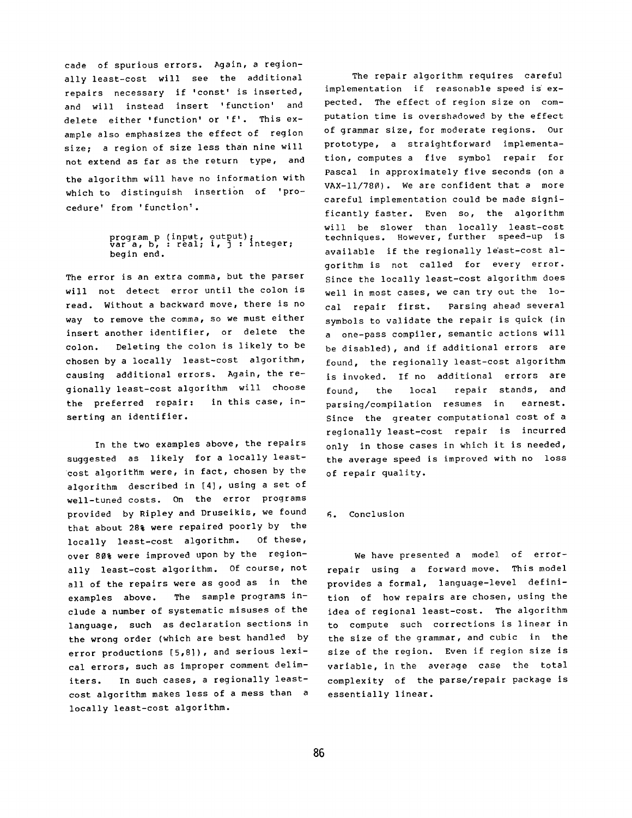cade of spurious errors. Again, a regionally least-cost will see the additional repairs necessary if 'const' is inserted, and will instead insert 'function' and delete either 'function' or 'f'. This example also emphasizes the effect of region size; a region of size less than nine will not extend as far as the return type, and the algorithm will have no information with which to distinguish insertion of 'procedure' from 'function'.

# program p (input, output);<br>var a, b, : real; i, j : integer; begin end.

The error is an extra comma, but the parser will not detect error until the colon is read. Without a backward move, there is no way to remove the comma, so we must either insert another identifier, or delete the colon. Deleting the colon is likely to be chosen by a locally least-cost algorithm, causing additional errors. Again, the regionally least-cost algorithm will choose the preferred repair: in this case, inserting an identifier.

In the two examples above, the repairs suggested as likely for a locally leastcost algorithm were, in fact, chosen by the algorithm described in [4], using a set of well-tuned costs. On the error programs provided by Ripley and Druseikis, we found that about 28% were repaired poorly by the locally least-cost algorithm. Of these, over 80% were improved upon by the regionally least-cost algorithm. Of course, not all of the repairs were as good as in the examples above. The sample programs include a number of systematic misuses of the language, such as declaration sections in the wrong order (which are best handled by error productions [5,8]), and serious lexical errors, such as improper comment delimiters. In such cases, a regionally leastcost algorithm makes less of a mess than a locally least-cost algorithm.

The repair algorithm requires careful implementation if reasonable speed is expected. The effect of region size on computation time is overshadowed by the effect of grammar size, for moderate regions. Our prototype, a straightforward implementation, computes a five symbol repair for Pascal in approximately five seconds (on a VAX-II/780). We are confident that a more careful implementation could be made significantly faster. Even so, the algorithm will be slower than locally least-cost techniques. However, further speed-up is available if the regionally least-cost algorithm is not called for every error. Since the locally least-cost algorithm does well in most cases, we can try out the local repair first. Parsing ahead several symbols to validate the repair is quick (in a one-pass compiler, semantic actions will be disabled), and if additional errors are found, the regionally least-cost algorithm is invoked. If no additional errors are found, the local repair stands, and parsing/compilation resumes in earnest. Since the greater computational cost of a regionally least-cost repair is incurred only in those cases in which it is needed, the average speed is improved with no loss of repair quality.

## 6. Conclusion

We have presented a model of errorrepair using a forward move. This model provides a formal, language-level definition of how repairs are chosen, using the idea of regional least-cost. The algorithm to compute such corrections is linear in the size of the grammar, and cubic in the size of the region. Even if region size is variable, in the average case the total complexity of the parse/repair package is essentially linear.